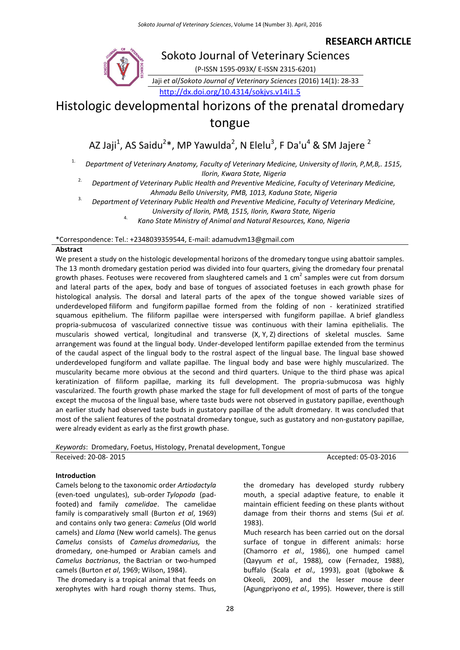**RESEARCH ARTICLE**

# Sokoto Journal of Veterinary Sciences

(P-ISSN 1595-093X/ E-ISSN 2315-6201)

Jaji *et al*/*Sokoto Journal of Veterinary Sciences* (2016) 14(1): 28-33

<http://dx.doi.org/10.4314/sokjvs.v14i1.5>

# Histologic developmental horizons of the prenatal dromedary tongue

AZ Jaji<sup>1</sup>, AS Saidu<sup>2</sup>\*, MP Yawulda<sup>2</sup>, N Elelu<sup>3</sup>, F Da'u<sup>4</sup> & SM Jajere <sup>2</sup>

1. *Department of Veterinary Anatomy, Faculty of Veterinary Medicine, University of Ilorin, P,M,B,. 1515, Ilorin, Kwara State, Nigeria*

2. *Department of Veterinary Public Health and Preventive Medicine, Faculty of Veterinary Medicine, Ahmadu Bello University, PMB, 1013, Kaduna State, Nigeria*

3. *Department of Veterinary Public Health and Preventive Medicine, Faculty of Veterinary Medicine,* 

*University of Ilorin, PMB, 1515, Ilorin, Kwara State, Nigeria*

4. *Kano State Ministry of Animal and Natural Resources, Kano, Nigeria*

### \*Correspondence: Tel.: +2348039359544, E-mail: adamudvm13@gmail.com

## **Abstract**

We present a study on the histologic developmental horizons of the dromedary tongue using abattoir samples. The 13 month dromedary gestation period was divided into four quarters, giving the dromedary four prenatal growth phases. Feotuses were recovered from slaughtered camels and 1 cm<sup>2</sup> samples were cut from dorsum and lateral parts of the apex, body and base of tongues of associated foetuses in each growth phase for histological analysis. The dorsal and lateral parts of the apex of the tongue showed variable sizes of underdeveloped filiform and fungiform papillae formed from the folding of non - keratinized stratified squamous epithelium. The filiform papillae were interspersed with fungiform papillae. A brief glandless propria-submucosa of vascularized connective tissue was continuous with their lamina epithelialis. The muscularis showed vertical, longitudinal and transverse (X, Y, Z) directions of skeletal muscles. Same arrangement was found at the lingual body. Under-developed lentiform papillae extended from the terminus of the caudal aspect of the lingual body to the rostral aspect of the lingual base. The lingual base showed underdeveloped fungiform and vallate papillae. The lingual body and base were highly muscularized. The muscularity became more obvious at the second and third quarters. Unique to the third phase was apical keratinization of filiform papillae, marking its full development. The propria-submucosa was highly vascularized. The fourth growth phase marked the stage for full development of most of parts of the tongue except the mucosa of the lingual base, where taste buds were not observed in gustatory papillae, eventhough an earlier study had observed taste buds in gustatory papillae of the adult dromedary. It was concluded that most of the salient features of the postnatal dromedary tongue, such as gustatory and non-gustatory papillae, were already evident as early as the first growth phase.

*Keywords*: Dromedary, Foetus, Histology, Prenatal development, Tongue Received: 20-08- 2015 **Accepted: 05-03-2016** Accepted: 05-03-2016

# **Introduction**

Camels belong to the taxonomic order *Artiodactyla*  (even-toed ungulates), sub-order *Tylopoda* (padfooted) and family *camelidae*. The camelidae family is comparatively small (Burton *et al*, 1969) and contains only two genera: *Camelus* (Old world camels) and *Llama* (New world camels). The genus *Camelus* consists of *Camelus dromedarius,* the dromedary, one-humped or Arabian camels and *Camelus bactrianus*, the Bactrian or two-humped camels (Burton *et al*, 1969; Wilson, 1984).

The dromedary is a tropical animal that feeds on xerophytes with hard rough thorny stems. Thus, the dromedary has developed sturdy rubbery mouth, a special adaptive feature, to enable it maintain efficient feeding on these plants without damage from their thorns and stems (Sui *et al.* 1983).

Much research has been carried out on the dorsal surface of tongue in different animals: horse (Chamorro *et al.,* 1986), one humped camel (Qayyum *et al.,* 1988), cow (Fernadez, 1988), buffalo (Scala *et al.,* 1993), goat (Igbokwe & Okeoli, 2009), and the lesser mouse deer (Agungpriyono *et al.,* 1995). However, there is still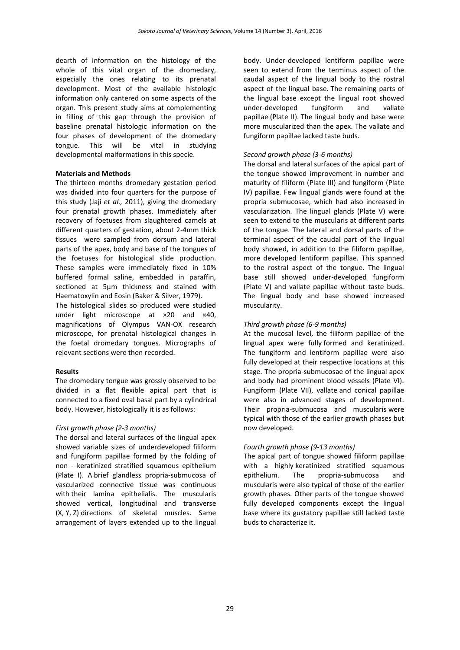dearth of information on the histology of the whole of this vital organ of the dromedary, especially the ones relating to its prenatal development. Most of the available histologic information only cantered on some aspects of the organ. This present study aims at complementing in filling of this gap through the provision of baseline prenatal histologic information on the four phases of development of the dromedary tongue. This will be vital in studying developmental malformations in this specie.

#### **Materials and Methods**

The thirteen months dromedary gestation period was divided into four quarters for the purpose of this study (Jaji *et al.,* 2011), giving the dromedary four prenatal growth phases. Immediately after recovery of foetuses from slaughtered camels at different quarters of gestation, about 2-4mm thick tissues were sampled from dorsum and lateral parts of the apex, body and base of the tongues of the foetuses for histological slide production. These samples were immediately fixed in 10% buffered formal saline, embedded in paraffin, sectioned at 5µm thickness and stained with Haematoxylin and Eosin (Baker & Silver, 1979).

The histological slides so produced were studied under light microscope at ×20 and ×40, magnifications of Olympus VAN-OX research microscope, for prenatal histological changes in the foetal dromedary tongues. Micrographs of relevant sections were then recorded.

#### **Results**

The dromedary tongue was grossly observed to be divided in a flat flexible apical part that is connected to a fixed oval basal part by a cylindrical body. However, histologically it is as follows:

#### *First growth phase (2-3 months)*

The dorsal and lateral surfaces of the lingual apex showed variable sizes of underdeveloped filiform and fungiform papillae formed by the folding of non - keratinized stratified squamous epithelium (Plate I). A brief glandless propria-submucosa of vascularized connective tissue was continuous with their lamina epithelialis. The muscularis showed vertical, longitudinal and transverse (X, Y, Z) directions of skeletal muscles. Same arrangement of layers extended up to the lingual

body. Under-developed lentiform papillae were seen to extend from the terminus aspect of the caudal aspect of the lingual body to the rostral aspect of the lingual base. The remaining parts of the lingual base except the lingual root showed under-developed fungiform and vallate papillae (Plate II). The lingual body and base were more muscularized than the apex. The vallate and fungiform papillae lacked taste buds.

#### *Second growth phase (3-6 months)*

The dorsal and lateral surfaces of the apical part of the tongue showed improvement in number and maturity of filiform (Plate III) and fungiform (Plate IV) papillae. Few lingual glands were found at the propria submucosae, which had also increased in vascularization. The lingual glands (Plate V) were seen to extend to the muscularis at different parts of the tongue. The lateral and dorsal parts of the terminal aspect of the caudal part of the lingual body showed, in addition to the filiform papillae, more developed lentiform papillae. This spanned to the rostral aspect of the tongue. The lingual base still showed under-developed fungiform (Plate V) and vallate papillae without taste buds. The lingual body and base showed increased muscularity.

#### *Third growth phase (6-9 months)*

At the mucosal level, the filiform papillae of the lingual apex were fully formed and keratinized. The fungiform and lentiform papillae were also fully developed at their respective locations at this stage. The propria-submucosae of the lingual apex and body had prominent blood vessels (Plate VI). Fungiform (Plate VII), vallate and conical papillae were also in advanced stages of development. Their propria-submucosa and muscularis were typical with those of the earlier growth phases but now developed.

#### *Fourth growth phase (9-13 months)*

The apical part of tongue showed filiform papillae with a highly keratinized stratified squamous epithelium. The propria-submucosa and muscularis were also typical of those of the earlier growth phases. Other parts of the tongue showed fully developed components except the lingual base where its gustatory papillae still lacked taste buds to characterize it.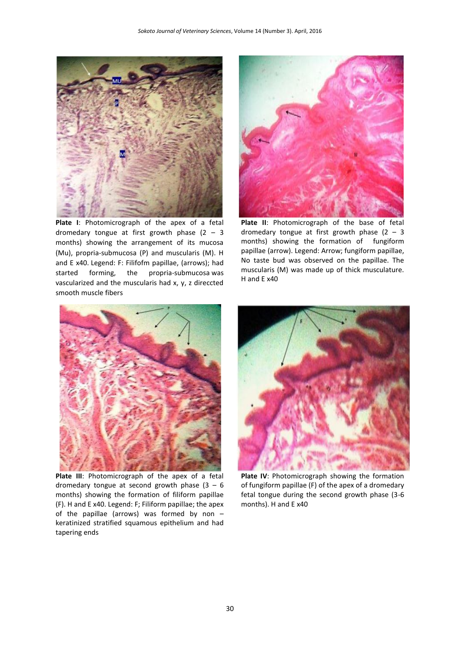

**Plate I**: Photomicrograph of the apex of a fetal dromedary tongue at first growth phase  $(2 - 3)$ months) showing the arrangement of its mucosa (Mu), propria-submucosa (P) and muscularis (M). H and E x40. Legend: F: Filifofm papillae, (arrows); had started forming, the propria-submucosa was vascularized and the muscularis had x, y, z direccted smooth muscle fibers



**Plate II**: Photomicrograph of the base of fetal dromedary tongue at first growth phase  $(2 - 3)$ months) showing the formation of fungiform papillae (arrow). Legend: Arrow; fungiform papillae, No taste bud was observed on the papillae. The muscularis (M) was made up of thick musculature. H and E x40



**Plate III**: Photomicrograph of the apex of a fetal dromedary tongue at second growth phase  $(3 - 6)$ months) showing the formation of filiform papillae (F). H and E x40. Legend: F; Filiform papillae; the apex of the papillae (arrows) was formed by non – keratinized stratified squamous epithelium and had tapering ends



**Plate IV**: Photomicrograph showing the formation of fungiform papillae (F) of the apex of a dromedary fetal tongue during the second growth phase (3-6 months). H and E x40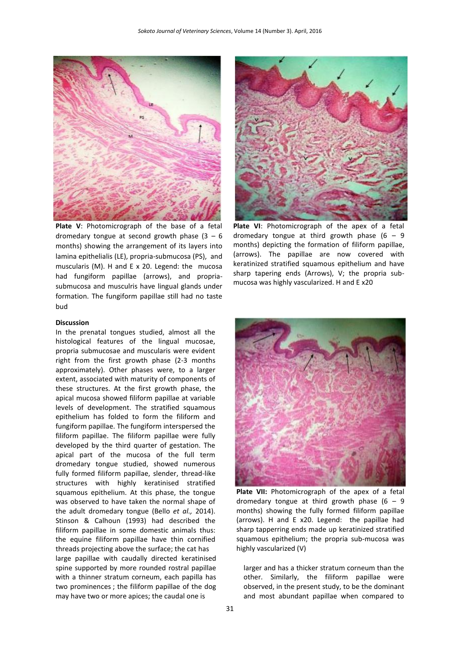

**Plate V**: Photomicrograph of the base of a fetal dromedary tongue at second growth phase  $(3 - 6)$ months) showing the arrangement of its layers into lamina epithelialis (LE), propria-submucosa (PS), and muscularis (M). H and E x 20. Legend: the mucosa had fungiform papillae (arrows), and propriasubmucosa and musculris have lingual glands under formation. The fungiform papillae still had no taste bud

#### **Discussion**

In the prenatal tongues studied, almost all the histological features of the lingual mucosae, propria submucosae and muscularis were evident right from the first growth phase (2-3 months approximately). Other phases were, to a larger extent, associated with maturity of components of these structures. At the first growth phase, the apical mucosa showed filiform papillae at variable levels of development. The stratified squamous epithelium has folded to form the filiform and fungiform papillae. The fungiform interspersed the filiform papillae. The filiform papillae were fully developed by the third quarter of gestation. The apical part of the mucosa of the full term dromedary tongue studied, showed numerous fully formed filiform papillae, slender, thread-like structures with highly keratinised stratified squamous epithelium. At this phase, the tongue was observed to have taken the normal shape of the adult dromedary tongue (Bello *et al.,* 2014). Stinson & Calhoun (1993) had described the filiform papillae in some domestic animals thus: the equine filiform papillae have thin cornified threads projecting above the surface; the cat has large papillae with caudally directed keratinised spine supported by more rounded rostral papillae with a thinner stratum corneum, each papilla has two prominences ; the filiform papillae of the dog may have two or more apices; the caudal one is



**Plate VI**: Photomicrograph of the apex of a fetal dromedary tongue at third growth phase  $(6 - 9)$ months) depicting the formation of filiform papillae, (arrows). The papillae are now covered with keratinized stratified squamous epithelium and have sharp tapering ends (Arrows), V; the propria submucosa was highly vascularized. H and E x20



Plate VII: Photomicrograph of the apex of a fetal dromedary tongue at third growth phase  $(6 - 9)$ months) showing the fully formed filiform papillae (arrows). H and E x20. Legend: the papillae had sharp tapperring ends made up keratinized stratified squamous epithelium; the propria sub-mucosa was highly vascularized (V)

larger and has a thicker stratum corneum than the other. Similarly, the filiform papillae were observed, in the present study, to be the dominant and most abundant papillae when compared to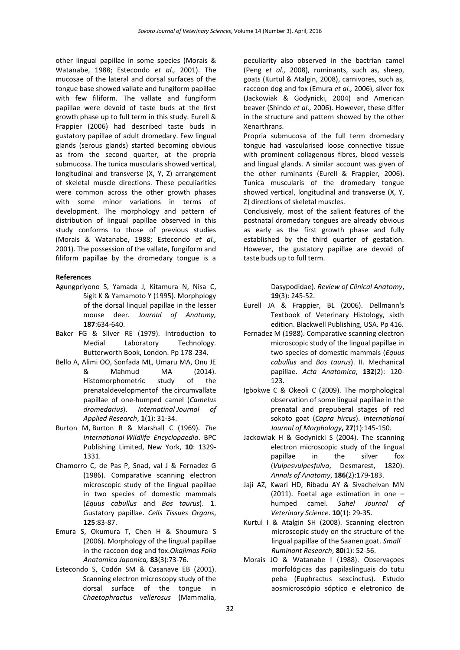other lingual papillae in some species (Morais & Watanabe, 1988; Estecondo *et al.,* 2001). The mucosae of the lateral and dorsal surfaces of the tongue base showed vallate and fungiform papillae with few filiform. The vallate and fungiform papillae were devoid of taste buds at the first growth phase up to full term in this study. Eurell & Frappier (2006) had described taste buds in gustatory papillae of adult dromedary. Few lingual glands (serous glands) started becoming obvious as from the second quarter, at the propria submucosa. The tunica muscularis showed vertical, longitudinal and transverse (X, Y, Z) arrangement of skeletal muscle directions. These peculiarities were common across the other growth phases with some minor variations in terms of development. The morphology and pattern of distribution of lingual papillae observed in this study conforms to those of previous studies (Morais & Watanabe, 1988; Estecondo *et al.,* 2001). The possession of the vallate, fungiform and filiform papillae by the dromedary tongue is a

#### **References**

- Agungpriyono S, Yamada J, Kitamura N, Nisa C, Sigit K & Yamamoto Y (1995). Morphplogy of the dorsal linqual papillae in the lesser mouse deer. *Journal of Anatomy,*  **187**:634-640.
- Baker FG & Silver RE (1979). Introduction to Medial Laboratory Technology. Butterworth Book, London. Pp 178-234.
- Bello A, Alimi OO, Sonfada ML, Umaru MA, Onu JE & Mahmud MA (2014). Histomorphometric study of the prenataldevelopmentof the circumvallate papillae of one-humped camel (*Camelus dromedarius*). *Internatinal Journal of Applied Research*, **1**(1): 31-34.
- Burton M, Burton R & Marshall C (1969). *The International Wildlife Encyclopaedia*. BPC Publishing Limited, New York, **10**: 1329- 1331.
- Chamorro C, de Pas P, Snad, val J & Fernadez G (1986). Comparative scanning electron microscopic study of the lingual papillae in two species of domestic mammals (*Equus cabullus* and *Bos taurus*). 1. Gustatory papillae. *Cells Tissues Organs*, **125**:83-87.
- Emura S, Okumura T, Chen H & Shoumura S (2006). Morphology of the lingual papillae in the raccoon dog and fox.*Okajimas Folia Anatomica Japonica,* **83**(3):73-76.
- Estecondo S, Codón SM & Casanave EB (2001). Scanning electron microscopy study of the dorsal surface of the tongue in *Chaetophractus vellerosus* (Mammalia,

peculiarity also observed in the bactrian camel (Peng *et al.,* 2008), ruminants, such as, sheep, goats (Kurtul & Atalgin, 2008), carnivores, such as, raccoon dog and fox (Emura *et al.,* 2006), silver fox (Jackowiak & Godynicki, 2004) and American beaver (Shindo *et al.,* 2006). However, these differ in the structure and pattern showed by the other Xenarthrans.

Propria submucosa of the full term dromedary tongue had vascularised loose connective tissue with prominent collagenous fibres, blood vessels and lingual glands. A similar account was given of the other ruminants (Eurell & Frappier, 2006). Tunica muscularis of the dromedary tongue showed vertical, longitudinal and transverse (X, Y, Z) directions of skeletal muscles.

Conclusively, most of the salient features of the postnatal dromedary tongues are already obvious as early as the first growth phase and fully established by the third quarter of gestation. However, the gustatory papillae are devoid of taste buds up to full term.

> Dasypodidae). *Review of Clinical Anatomy*, **19**(3): 245-52.

- Eurell JA & Frappier, BL (2006). Dellmann's Textbook of Veterinary Histology, sixth edition. Blackwell Publishing, USA. Pp 416.
- Fernadez M (1988). Comparative scanning electron microscopic study of the lingual papillae in two species of domestic mammals (*Equus cabullus* and *Bos taurus*). II. Mechanical papillae. *Acta Anatomica*, **132**(2): 120- 123.
- Igbokwe C & Okeoli C (2009). The morphological observation of some lingual papillae in the prenatal and prepuberal stages of red sokoto goat (*Capra hircus*). *International Journal of Morphology***, 27**(1):145-150.
- Jackowiak H & Godynicki S (2004). The scanning electron microscopic study of the lingual papillae in the silver fox (*Vulpesvulpesfulva*, Desmarest, 1820). *Annals of Anatomy*, **186**(2):179-183.
- Jaji AZ, Kwari HD, Ribadu AY & Sivachelvan MN (2011). Foetal age estimation in one – humped camel. *Sahel Journal of Veterinary Science*. **10**(1): 29-35.
- Kurtul I & Atalgin SH (2008). Scanning electron microscopic study on the structure of the lingual papillae of the Saanen goat. *Small Ruminant Research*, **80**(1): 52-56.
- Morais JO & Watanabe I (1988). Observaçoes morfológicas das papilaslinguais do tutu peba (Euphractus sexcinctus). Estudo aosmicroscópio sóptico e eletronico de